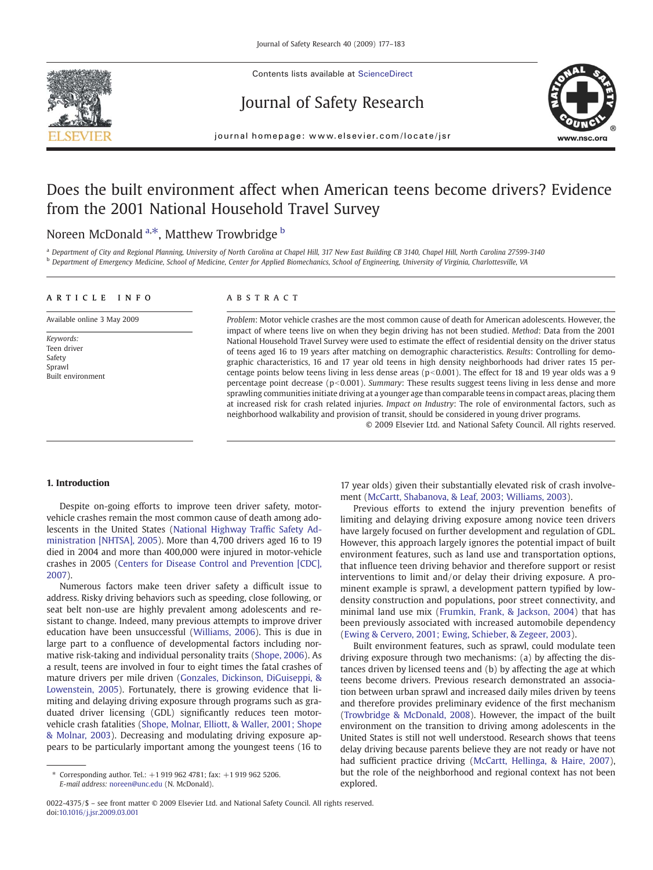

Contents lists available at ScienceDirect

# Journal of Safety Research



journal homepage: www.elsevier.com/locate/jsr

# Does the built environment affect when American teens become drivers? Evidence from the 2001 National Household Travel Survey

# Noreen McDonald <sup>a,\*</sup>, Matthew Trowbridge <sup>b</sup>

a Department of City and Regional Planning, University of North Carolina at Chapel Hill, 317 New East Building CB 3140, Chapel Hill, North Carolina 27599-3140 **b** Department of Emergency Medicine, School of Medicine, Center for Applied Biomechanics, School of Engineering, University of Virginia, Charlottesville, VA

#### article info abstract

Available online 3 May 2009

Keywords: Teen driver Safety Sprawl Built environment

Problem: Motor vehicle crashes are the most common cause of death for American adolescents. However, the impact of where teens live on when they begin driving has not been studied. Method: Data from the 2001 National Household Travel Survey were used to estimate the effect of residential density on the driver status of teens aged 16 to 19 years after matching on demographic characteristics. Results: Controlling for demographic characteristics, 16 and 17 year old teens in high density neighborhoods had driver rates 15 percentage points below teens living in less dense areas ( $p<0.001$ ). The effect for 18 and 19 year olds was a 9 percentage point decrease ( $p<0.001$ ). Summary: These results suggest teens living in less dense and more sprawling communities initiate driving at a younger age than comparable teens in compact areas, placing them at increased risk for crash related injuries. Impact on Industry: The role of environmental factors, such as neighborhood walkability and provision of transit, should be considered in young driver programs.

© 2009 Elsevier Ltd. and National Safety Council. All rights reserved.

#### 1. Introduction

Despite on-going efforts to improve teen driver safety, motorvehicle crashes remain the most common cause of death among adolescents in the United States [\(National Highway Traf](#page-5-0)fic Safety Ad[ministration \[NHTSA\], 2005\)](#page-5-0). More than 4,700 drivers aged 16 to 19 died in 2004 and more than 400,000 were injured in motor-vehicle crashes in 2005 ([Centers for Disease Control and Prevention \[CDC\],](#page-5-0) [2007\)](#page-5-0).

Numerous factors make teen driver safety a difficult issue to address. Risky driving behaviors such as speeding, close following, or seat belt non-use are highly prevalent among adolescents and resistant to change. Indeed, many previous attempts to improve driver education have been unsuccessful [\(Williams, 2006\)](#page-6-0). This is due in large part to a confluence of developmental factors including normative risk-taking and individual personality traits ([Shope, 2006](#page-5-0)). As a result, teens are involved in four to eight times the fatal crashes of mature drivers per mile driven ([Gonzales, Dickinson, DiGuiseppi, &](#page-5-0) [Lowenstein, 2005](#page-5-0)). Fortunately, there is growing evidence that limiting and delaying driving exposure through programs such as graduated driver licensing (GDL) significantly reduces teen motorvehicle crash fatalities [\(Shope, Molnar, Elliott, & Waller, 2001; Shope](#page-5-0) [& Molnar, 2003](#page-5-0)). Decreasing and modulating driving exposure appears to be particularly important among the youngest teens (16 to

17 year olds) given their substantially elevated risk of crash involvement ([McCartt, Shabanova, & Leaf, 2003; Williams, 2003](#page-5-0)).

Previous efforts to extend the injury prevention benefits of limiting and delaying driving exposure among novice teen drivers have largely focused on further development and regulation of GDL. However, this approach largely ignores the potential impact of built environment features, such as land use and transportation options, that influence teen driving behavior and therefore support or resist interventions to limit and/or delay their driving exposure. A prominent example is sprawl, a development pattern typified by lowdensity construction and populations, poor street connectivity, and minimal land use mix [\(Frumkin, Frank, & Jackson, 2004](#page-5-0)) that has been previously associated with increased automobile dependency [\(Ewing & Cervero, 2001; Ewing, Schieber, & Zegeer, 2003](#page-5-0)).

Built environment features, such as sprawl, could modulate teen driving exposure through two mechanisms: (a) by affecting the distances driven by licensed teens and (b) by affecting the age at which teens become drivers. Previous research demonstrated an association between urban sprawl and increased daily miles driven by teens and therefore provides preliminary evidence of the first mechanism [\(Trowbridge & McDonald, 2008\)](#page-5-0). However, the impact of the built environment on the transition to driving among adolescents in the United States is still not well understood. Research shows that teens delay driving because parents believe they are not ready or have not had sufficient practice driving [\(McCartt, Hellinga, & Haire, 2007](#page-5-0)), but the role of the neighborhood and regional context has not been explored.

<sup>⁎</sup> Corresponding author. Tel.: +1 919 962 4781; fax: +1 919 962 5206. E-mail address: [noreen@unc.edu](mailto:noreen@unc.edu) (N. McDonald).

<sup>0022-4375/\$</sup> – see front matter © 2009 Elsevier Ltd. and National Safety Council. All rights reserved. doi:[10.1016/j.jsr.2009.03.001](http://dx.doi.org/10.1016/j.jsr.2009.03.001)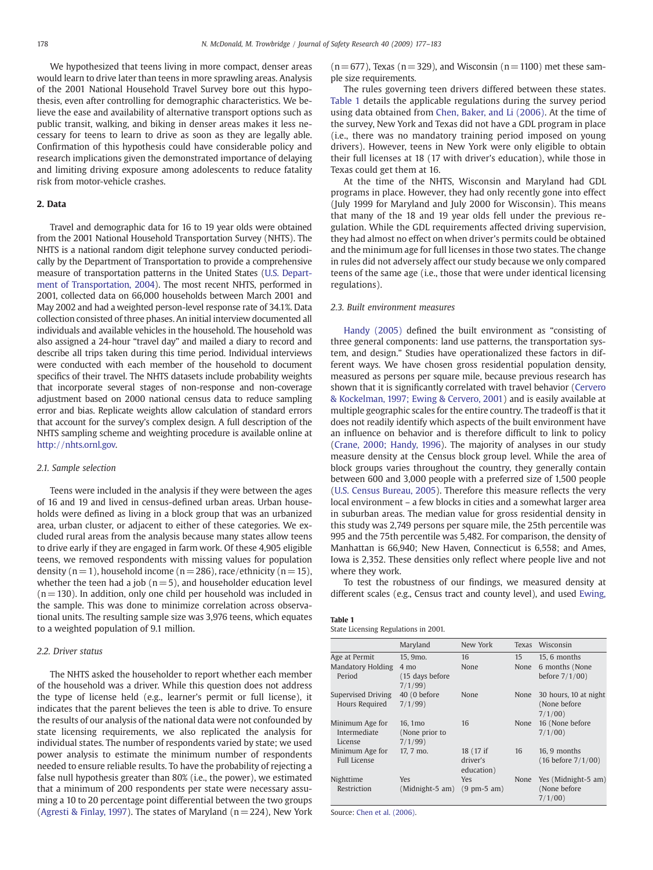We hypothesized that teens living in more compact, denser areas would learn to drive later than teens in more sprawling areas. Analysis of the 2001 National Household Travel Survey bore out this hypothesis, even after controlling for demographic characteristics. We believe the ease and availability of alternative transport options such as public transit, walking, and biking in denser areas makes it less necessary for teens to learn to drive as soon as they are legally able. Confirmation of this hypothesis could have considerable policy and research implications given the demonstrated importance of delaying and limiting driving exposure among adolescents to reduce fatality risk from motor-vehicle crashes.

# 2. Data

Travel and demographic data for 16 to 19 year olds were obtained from the 2001 National Household Transportation Survey (NHTS). The NHTS is a national random digit telephone survey conducted periodically by the Department of Transportation to provide a comprehensive measure of transportation patterns in the United States ([U.S. Depart](#page-6-0)[ment of Transportation, 2004](#page-6-0)). The most recent NHTS, performed in 2001, collected data on 66,000 households between March 2001 and May 2002 and had a weighted person-level response rate of 34.1%. Data collection consisted of three phases. An initial interview documented all individuals and available vehicles in the household. The household was also assigned a 24-hour "travel day" and mailed a diary to record and describe all trips taken during this time period. Individual interviews were conducted with each member of the household to document specifics of their travel. The NHTS datasets include probability weights that incorporate several stages of non-response and non-coverage adjustment based on 2000 national census data to reduce sampling error and bias. Replicate weights allow calculation of standard errors that account for the survey's complex design. A full description of the NHTS sampling scheme and weighting procedure is available online at [http://nhts.ornl.gov.](http://nhts.ornl.gov)

### 2.1. Sample selection

Teens were included in the analysis if they were between the ages of 16 and 19 and lived in census-defined urban areas. Urban households were defined as living in a block group that was an urbanized area, urban cluster, or adjacent to either of these categories. We excluded rural areas from the analysis because many states allow teens to drive early if they are engaged in farm work. Of these 4,905 eligible teens, we removed respondents with missing values for population density ( $n = 1$ ), household income ( $n = 286$ ), race/ethnicity ( $n = 15$ ), whether the teen had a job ( $n = 5$ ), and householder education level  $(n= 130)$ . In addition, only one child per household was included in the sample. This was done to minimize correlation across observational units. The resulting sample size was 3,976 teens, which equates to a weighted population of 9.1 million.

#### 2.2. Driver status

The NHTS asked the householder to report whether each member of the household was a driver. While this question does not address the type of license held (e.g., learner's permit or full license), it indicates that the parent believes the teen is able to drive. To ensure the results of our analysis of the national data were not confounded by state licensing requirements, we also replicated the analysis for individual states. The number of respondents varied by state; we used power analysis to estimate the minimum number of respondents needed to ensure reliable results. To have the probability of rejecting a false null hypothesis greater than 80% (i.e., the power), we estimated that a minimum of 200 respondents per state were necessary assuming a 10 to 20 percentage point differential between the two groups [\(Agresti & Finlay, 1997\)](#page-5-0). The states of Maryland ( $n = 224$ ), New York  $(n=677)$ , Texas (n=329), and Wisconsin (n=1100) met these sample size requirements.

The rules governing teen drivers differed between these states. Table 1 details the applicable regulations during the survey period using data obtained from [Chen, Baker, and Li \(2006\).](#page-5-0) At the time of the survey, New York and Texas did not have a GDL program in place (i.e., there was no mandatory training period imposed on young drivers). However, teens in New York were only eligible to obtain their full licenses at 18 (17 with driver's education), while those in Texas could get them at 16.

At the time of the NHTS, Wisconsin and Maryland had GDL programs in place. However, they had only recently gone into effect (July 1999 for Maryland and July 2000 for Wisconsin). This means that many of the 18 and 19 year olds fell under the previous regulation. While the GDL requirements affected driving supervision, they had almost no effect on when driver's permits could be obtained and the minimum age for full licenses in those two states. The change in rules did not adversely affect our study because we only compared teens of the same age (i.e., those that were under identical licensing regulations).

#### 2.3. Built environment measures

[Handy \(2005\)](#page-5-0) defined the built environment as "consisting of three general components: land use patterns, the transportation system, and design." Studies have operationalized these factors in different ways. We have chosen gross residential population density, measured as persons per square mile, because previous research has shown that it is significantly correlated with travel behavior ([Cervero](#page-5-0) [& Kockelman, 1997; Ewing & Cervero, 2001](#page-5-0)) and is easily available at multiple geographic scales for the entire country. The tradeoff is that it does not readily identify which aspects of the built environment have an influence on behavior and is therefore difficult to link to policy [\(Crane, 2000; Handy, 1996](#page-5-0)). The majority of analyses in our study measure density at the Census block group level. While the area of block groups varies throughout the country, they generally contain between 600 and 3,000 people with a preferred size of 1,500 people [\(U.S. Census Bureau, 2005\)](#page-6-0). Therefore this measure reflects the very local environment – a few blocks in cities and a somewhat larger area in suburban areas. The median value for gross residential density in this study was 2,749 persons per square mile, the 25th percentile was 995 and the 75th percentile was 5,482. For comparison, the density of Manhattan is 66,940; New Haven, Connecticut is 6,558; and Ames, Iowa is 2,352. These densities only reflect where people live and not where they work.

To test the robustness of our findings, we measured density at different scales (e.g., Census tract and county level), and used [Ewing,](#page-5-0)

| $\sim$<br>. . |  |
|---------------|--|
|               |  |

| ------- |                                      |  |
|---------|--------------------------------------|--|
|         | State Licensing Regulations in 2001. |  |

|                                            | Maryland                           | New York                      | Texas | Wisconsin                     |
|--------------------------------------------|------------------------------------|-------------------------------|-------|-------------------------------|
| Age at Permit                              | 15. 9mo.                           | 16                            | 15    | 15, 6 months                  |
| <b>Mandatory Holding</b>                   | $4 \text{ mo}$                     | None                          | None  | 6 months (None                |
| Period                                     | (15 days before<br>7/1/99          |                               |       | before $7/1/00$ )             |
| Supervised Driving                         | 40 (0 before                       | None                          | None  | 30 hours, 10 at night         |
| Hours Required                             | 7/1/99                             |                               |       | (None before                  |
|                                            |                                    |                               |       | 7/1/00                        |
| Minimum Age for<br>Intermediate<br>License | 16.1mo<br>(None prior to<br>7/1/99 | 16                            | None  | 16 (None before<br>7/1/00     |
| Minimum Age for                            | 17, 7 mo.                          | 18 (17 if                     | 16    | 16, 9 months                  |
| <b>Full License</b>                        |                                    | driver's<br>education)        |       | $(16 \text{ before } 7/1/00)$ |
| Nighttime                                  | Yes                                | <b>Yes</b>                    | None  | Yes (Midnight-5 am)           |
| Restriction                                | (Midnight-5 am)                    | $(9 \text{ pm-}5 \text{ am})$ |       | (None before                  |
|                                            |                                    |                               |       | 7/1/00                        |

Source: [Chen et al. \(2006\).](#page-5-0)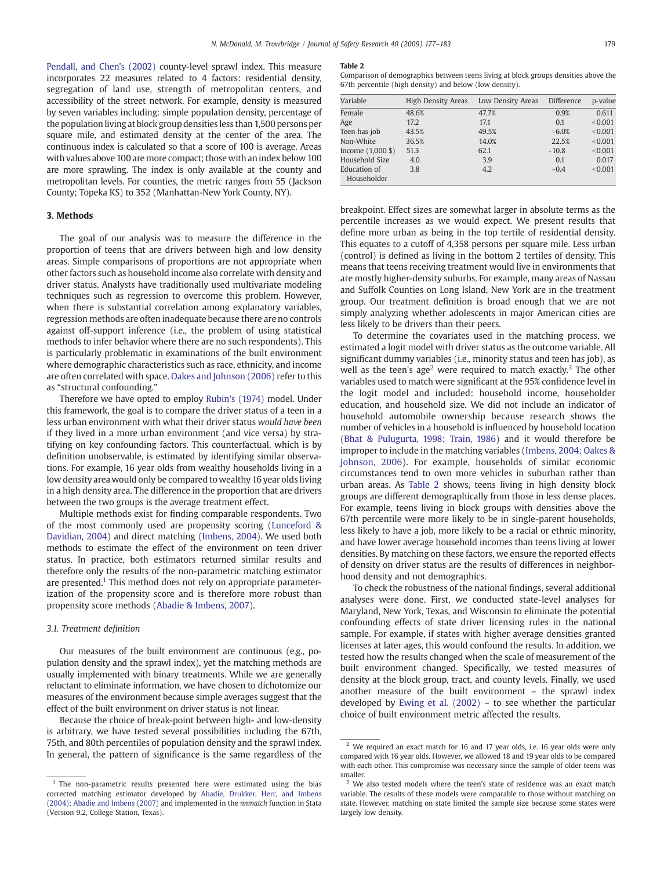[Pendall, and Chen's \(2002\)](#page-5-0) county-level sprawl index. This measure incorporates 22 measures related to 4 factors: residential density, segregation of land use, strength of metropolitan centers, and accessibility of the street network. For example, density is measured by seven variables including: simple population density, percentage of the population living at block group densities less than 1,500 persons per square mile, and estimated density at the center of the area. The continuous index is calculated so that a score of 100 is average. Areas with values above 100 are more compact; those with an index below 100 are more sprawling. The index is only available at the county and metropolitan levels. For counties, the metric ranges from 55 (Jackson County; Topeka KS) to 352 (Manhattan-New York County, NY).

# 3. Methods

The goal of our analysis was to measure the difference in the proportion of teens that are drivers between high and low density areas. Simple comparisons of proportions are not appropriate when other factors such as household income also correlate with density and driver status. Analysts have traditionally used multivariate modeling techniques such as regression to overcome this problem. However, when there is substantial correlation among explanatory variables, regression methods are often inadequate because there are no controls against off-support inference (i.e., the problem of using statistical methods to infer behavior where there are no such respondents). This is particularly problematic in examinations of the built environment where demographic characteristics such as race, ethnicity, and income are often correlated with space. [Oakes and Johnson \(2006\)](#page-5-0) refer to this as "structural confounding."

Therefore we have opted to employ [Rubin's \(1974\)](#page-5-0) model. Under this framework, the goal is to compare the driver status of a teen in a less urban environment with what their driver status would have been if they lived in a more urban environment (and vice versa) by stratifying on key confounding factors. This counterfactual, which is by definition unobservable, is estimated by identifying similar observations. For example, 16 year olds from wealthy households living in a low density area would only be compared to wealthy 16 year olds living in a high density area. The difference in the proportion that are drivers between the two groups is the average treatment effect.

Multiple methods exist for finding comparable respondents. Two of the most commonly used are propensity scoring ([Lunceford &](#page-5-0) [Davidian, 2004\)](#page-5-0) and direct matching [\(Imbens, 2004](#page-5-0)). We used both methods to estimate the effect of the environment on teen driver status. In practice, both estimators returned similar results and therefore only the results of the non-parametric matching estimator are presented.<sup>1</sup> This method does not rely on appropriate parameterization of the propensity score and is therefore more robust than propensity score methods ([Abadie & Imbens, 2007](http://ksghome.harvard.edu/~aabadie/bcm.pdf)).

#### 3.1. Treatment definition

Our measures of the built environment are continuous (e.g., population density and the sprawl index), yet the matching methods are usually implemented with binary treatments. While we are generally reluctant to eliminate information, we have chosen to dichotomize our measures of the environment because simple averages suggest that the effect of the built environment on driver status is not linear.

Because the choice of break-point between high- and low-density is arbitrary, we have tested several possibilities including the 67th, 75th, and 80th percentiles of population density and the sprawl index. In general, the pattern of significance is the same regardless of the

#### Table 2

Comparison of demographics between teens living at block groups densities above the 67th percentile (high density) and below (low density).

| Variable                                       | High Density Areas | Low Density Areas | Difference | p-value |
|------------------------------------------------|--------------------|-------------------|------------|---------|
| Female                                         | 48.6%              | 47.7%             | 0.9%       | 0.611   |
| Age                                            | 17.2               | 17.1              | 0.1        | < 0.001 |
| Teen has job                                   | 43.5%              | 49.5%             | $-6.0%$    | < 0.001 |
| Non-White                                      | 36.5%              | 14.0%             | 22.5%      | < 0.001 |
| Income $(1,000 \text{ } \text{\textsterling})$ | 51.3               | 62.1              | $-10.8$    | < 0.001 |
| Household Size                                 | 4.0                | 3.9               | 0.1        | 0.017   |
| Education of                                   | 3.8                | 4.2               | $-0.4$     | < 0.001 |
| Householder                                    |                    |                   |            |         |

breakpoint. Effect sizes are somewhat larger in absolute terms as the percentile increases as we would expect. We present results that define more urban as being in the top tertile of residential density. This equates to a cutoff of 4,358 persons per square mile. Less urban (control) is defined as living in the bottom 2 tertiles of density. This means that teens receiving treatment would live in environments that are mostly higher-density suburbs. For example, many areas of Nassau and Suffolk Counties on Long Island, New York are in the treatment group. Our treatment definition is broad enough that we are not simply analyzing whether adolescents in major American cities are less likely to be drivers than their peers.

To determine the covariates used in the matching process, we estimated a logit model with driver status as the outcome variable. All significant dummy variables (i.e., minority status and teen has job), as well as the teen's age<sup>2</sup> were required to match exactly.<sup>3</sup> The other variables used to match were significant at the 95% confidence level in the logit model and included: household income, householder education, and household size. We did not include an indicator of household automobile ownership because research shows the number of vehicles in a household is influenced by household location [\(Bhat & Pulugurta, 1998; Train, 1986](#page-5-0)) and it would therefore be improper to include in the matching variables ([Imbens, 2004; Oakes &](#page-5-0) [Johnson, 2006](#page-5-0)). For example, households of similar economic circumstances tend to own more vehicles in suburban rather than urban areas. As Table 2 shows, teens living in high density block groups are different demographically from those in less dense places. For example, teens living in block groups with densities above the 67th percentile were more likely to be in single-parent households, less likely to have a job, more likely to be a racial or ethnic minority, and have lower average household incomes than teens living at lower densities. By matching on these factors, we ensure the reported effects of density on driver status are the results of differences in neighborhood density and not demographics.

To check the robustness of the national findings, several additional analyses were done. First, we conducted state-level analyses for Maryland, New York, Texas, and Wisconsin to eliminate the potential confounding effects of state driver licensing rules in the national sample. For example, if states with higher average densities granted licenses at later ages, this would confound the results. In addition, we tested how the results changed when the scale of measurement of the built environment changed. Specifically, we tested measures of density at the block group, tract, and county levels. Finally, we used another measure of the built environment – the sprawl index developed by [Ewing et al. \(2002\)](#page-5-0) – to see whether the particular choice of built environment metric affected the results.

<sup>&</sup>lt;sup>1</sup> The non-parametric results presented here were estimated using the bias corrected matching estimator developed by [Abadie, Drukker, Herr, and Imbens](#page-5-0) [\(2004\); Abadie and Imbens \(2007\)](#page-5-0) and implemented in the nnmatch function in Stata (Version 9.2, College Station, Texas).

 $2$  We required an exact match for 16 and 17 year olds, i.e. 16 year olds were only compared with 16 year olds. However, we allowed 18 and 19 year olds to be compared with each other. This compromise was necessary since the sample of older teens was smaller.

We also tested models where the teen's state of residence was an exact match variable. The results of these models were comparable to those without matching on state. However, matching on state limited the sample size because some states were largely low density.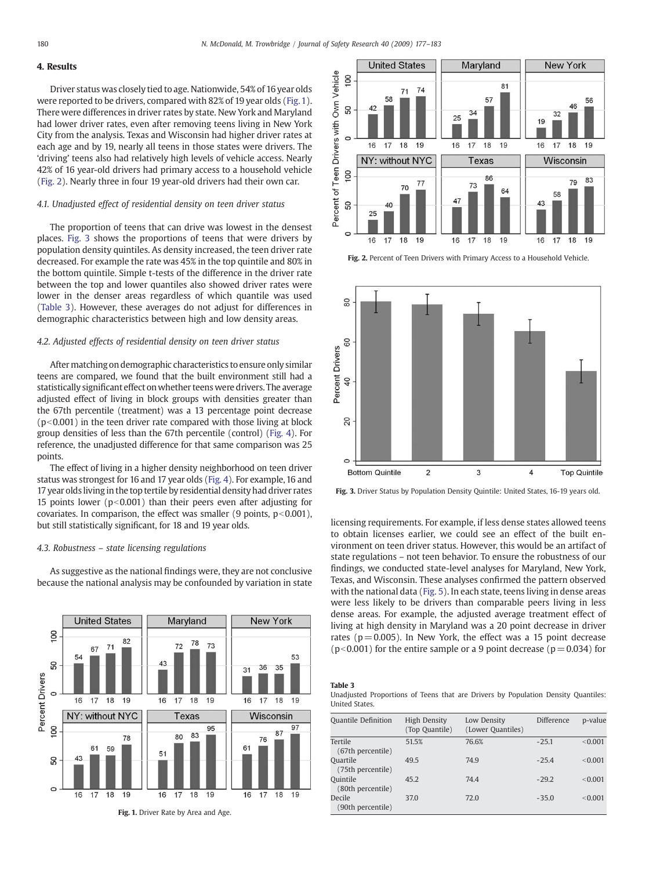# 4. Results

Driver status was closely tied to age. Nationwide, 54% of 16 year olds were reported to be drivers, compared with 82% of 19 year olds (Fig. 1). There were differences in driver rates by state. New York and Maryland had lower driver rates, even after removing teens living in New York City from the analysis. Texas and Wisconsin had higher driver rates at each age and by 19, nearly all teens in those states were drivers. The 'driving' teens also had relatively high levels of vehicle access. Nearly 42% of 16 year-old drivers had primary access to a household vehicle (Fig. 2). Nearly three in four 19 year-old drivers had their own car.

# 4.1. Unadjusted effect of residential density on teen driver status

The proportion of teens that can drive was lowest in the densest places. Fig. 3 shows the proportions of teens that were drivers by population density quintiles. As density increased, the teen driver rate decreased. For example the rate was 45% in the top quintile and 80% in the bottom quintile. Simple t-tests of the difference in the driver rate between the top and lower quantiles also showed driver rates were lower in the denser areas regardless of which quantile was used (Table 3). However, these averages do not adjust for differences in demographic characteristics between high and low density areas.

#### 4.2. Adjusted effects of residential density on teen driver status

After matching on demographic characteristics to ensure only similar teens are compared, we found that the built environment still had a statistically significant effect on whether teens were drivers. The average adjusted effect of living in block groups with densities greater than the 67th percentile (treatment) was a 13 percentage point decrease  $(p<0.001)$  in the teen driver rate compared with those living at block group densities of less than the 67th percentile (control) [\(Fig. 4](#page-4-0)). For reference, the unadjusted difference for that same comparison was 25 points.

The effect of living in a higher density neighborhood on teen driver status was strongest for 16 and 17 year olds [\(Fig. 4](#page-4-0)). For example, 16 and 17 year olds living in the top tertile by residential density had driver rates 15 points lower ( $p<0.001$ ) than their peers even after adjusting for covariates. In comparison, the effect was smaller (9 points,  $p<0.001$ ), but still statistically significant, for 18 and 19 year olds.

# 4.3. Robustness – state licensing regulations

As suggestive as the national findings were, they are not conclusive because the national analysis may be confounded by variation in state





Fig. 2. Percent of Teen Drivers with Primary Access to a Household Vehicle.



Fig. 3. Driver Status by Population Density Quintile: United States, 16-19 years old.

licensing requirements. For example, if less dense states allowed teens to obtain licenses earlier, we could see an effect of the built environment on teen driver status. However, this would be an artifact of state regulations – not teen behavior. To ensure the robustness of our findings, we conducted state-level analyses for Maryland, New York, Texas, and Wisconsin. These analyses confirmed the pattern observed with the national data ([Fig. 5](#page-4-0)). In each state, teens living in dense areas were less likely to be drivers than comparable peers living in less dense areas. For example, the adjusted average treatment effect of living at high density in Maryland was a 20 point decrease in driver rates ( $p = 0.005$ ). In New York, the effect was a 15 point decrease ( $p$ <0.001) for the entire sample or a 9 point decrease ( $p = 0.034$ ) for

# Table 3

Unadjusted Proportions of Teens that are Drivers by Population Density Quantiles: United States.

| <b>Quantile Definition</b>    | High Density<br>(Top Quantile) | Low Density<br>(Lower Quantiles) | Difference | p-value |
|-------------------------------|--------------------------------|----------------------------------|------------|---------|
| Tertile<br>(67th percentile)  | 51.5%                          | 76.6%                            | $-25.1$    | < 0.001 |
| Ouartile<br>(75th percentile) | 49.5                           | 74.9                             | $-25.4$    | < 0.001 |
| Ouintile<br>(80th percentile) | 45.2                           | 74.4                             | $-29.2$    | < 0.001 |
| Decile<br>(90th percentile)   | 37.0                           | 72.0                             | $-35.0$    | < 0.001 |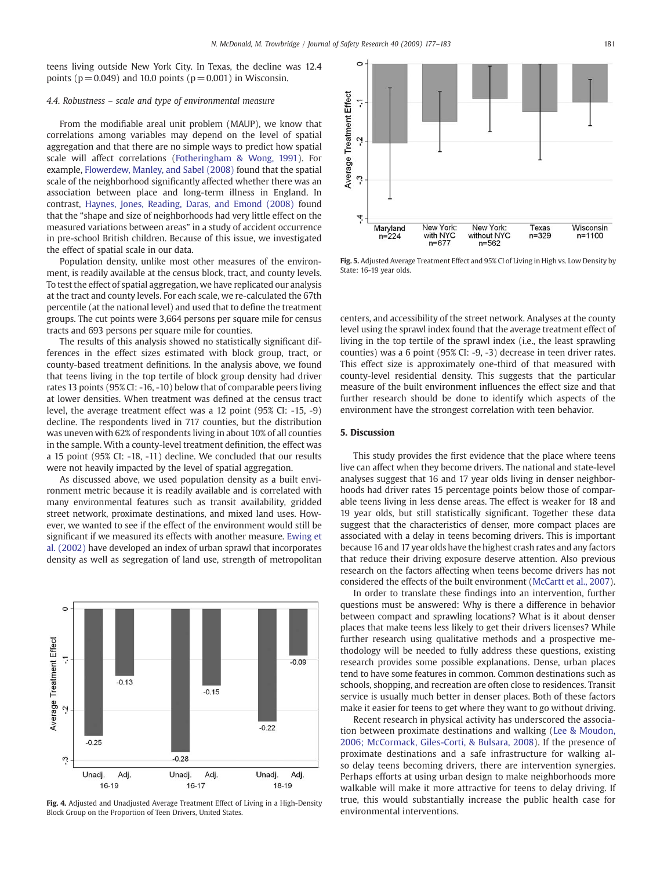<span id="page-4-0"></span>teens living outside New York City. In Texas, the decline was 12.4 points ( $p = 0.049$ ) and 10.0 points ( $p = 0.001$ ) in Wisconsin.

#### 4.4. Robustness – scale and type of environmental measure

From the modifiable areal unit problem (MAUP), we know that correlations among variables may depend on the level of spatial aggregation and that there are no simple ways to predict how spatial scale will affect correlations [\(Fotheringham & Wong, 1991\)](#page-5-0). For example, [Flowerdew, Manley, and Sabel \(2008\)](#page-5-0) found that the spatial scale of the neighborhood significantly affected whether there was an association between place and long-term illness in England. In contrast, [Haynes, Jones, Reading, Daras, and Emond \(2008\)](#page-5-0) found that the "shape and size of neighborhoods had very little effect on the measured variations between areas" in a study of accident occurrence in pre-school British children. Because of this issue, we investigated the effect of spatial scale in our data.

Population density, unlike most other measures of the environment, is readily available at the census block, tract, and county levels. To test the effect of spatial aggregation, we have replicated our analysis at the tract and county levels. For each scale, we re-calculated the 67th percentile (at the national level) and used that to define the treatment groups. The cut points were 3,664 persons per square mile for census tracts and 693 persons per square mile for counties.

The results of this analysis showed no statistically significant differences in the effect sizes estimated with block group, tract, or county-based treatment definitions. In the analysis above, we found that teens living in the top tertile of block group density had driver rates 13 points (95% CI: -16, -10) below that of comparable peers living at lower densities. When treatment was defined at the census tract level, the average treatment effect was a 12 point (95% CI: -15, -9) decline. The respondents lived in 717 counties, but the distribution was uneven with 62% of respondents living in about 10% of all counties in the sample. With a county-level treatment definition, the effect was a 15 point (95% CI: -18, -11) decline. We concluded that our results were not heavily impacted by the level of spatial aggregation.

As discussed above, we used population density as a built environment metric because it is readily available and is correlated with many environmental features such as transit availability, gridded street network, proximate destinations, and mixed land uses. However, we wanted to see if the effect of the environment would still be significant if we measured its effects with another measure. [Ewing et](#page-5-0) [al. \(2002\)](#page-5-0) have developed an index of urban sprawl that incorporates density as well as segregation of land use, strength of metropolitan



Fig. 4. Adjusted and Unadjusted Average Treatment Effect of Living in a High-Density Block Group on the Proportion of Teen Drivers, United States.



Fig. 5. Adjusted Average Treatment Effect and 95% CI of Living in High vs. Low Density by State: 16-19 year olds.

centers, and accessibility of the street network. Analyses at the county level using the sprawl index found that the average treatment effect of living in the top tertile of the sprawl index (i.e., the least sprawling counties) was a 6 point (95% CI: -9, -3) decrease in teen driver rates. This effect size is approximately one-third of that measured with county-level residential density. This suggests that the particular measure of the built environment influences the effect size and that further research should be done to identify which aspects of the environment have the strongest correlation with teen behavior.

#### 5. Discussion

This study provides the first evidence that the place where teens live can affect when they become drivers. The national and state-level analyses suggest that 16 and 17 year olds living in denser neighborhoods had driver rates 15 percentage points below those of comparable teens living in less dense areas. The effect is weaker for 18 and 19 year olds, but still statistically significant. Together these data suggest that the characteristics of denser, more compact places are associated with a delay in teens becoming drivers. This is important because 16 and 17 year olds have the highest crash rates and any factors that reduce their driving exposure deserve attention. Also previous research on the factors affecting when teens become drivers has not considered the effects of the built environment ([McCartt et al., 2007](#page-5-0)).

In order to translate these findings into an intervention, further questions must be answered: Why is there a difference in behavior between compact and sprawling locations? What is it about denser places that make teens less likely to get their drivers licenses? While further research using qualitative methods and a prospective methodology will be needed to fully address these questions, existing research provides some possible explanations. Dense, urban places tend to have some features in common. Common destinations such as schools, shopping, and recreation are often close to residences. Transit service is usually much better in denser places. Both of these factors make it easier for teens to get where they want to go without driving.

Recent research in physical activity has underscored the association between proximate destinations and walking ([Lee & Moudon,](#page-5-0) [2006; McCormack, Giles-Corti, & Bulsara, 2008](#page-5-0)). If the presence of proximate destinations and a safe infrastructure for walking also delay teens becoming drivers, there are intervention synergies. Perhaps efforts at using urban design to make neighborhoods more walkable will make it more attractive for teens to delay driving. If true, this would substantially increase the public health case for environmental interventions.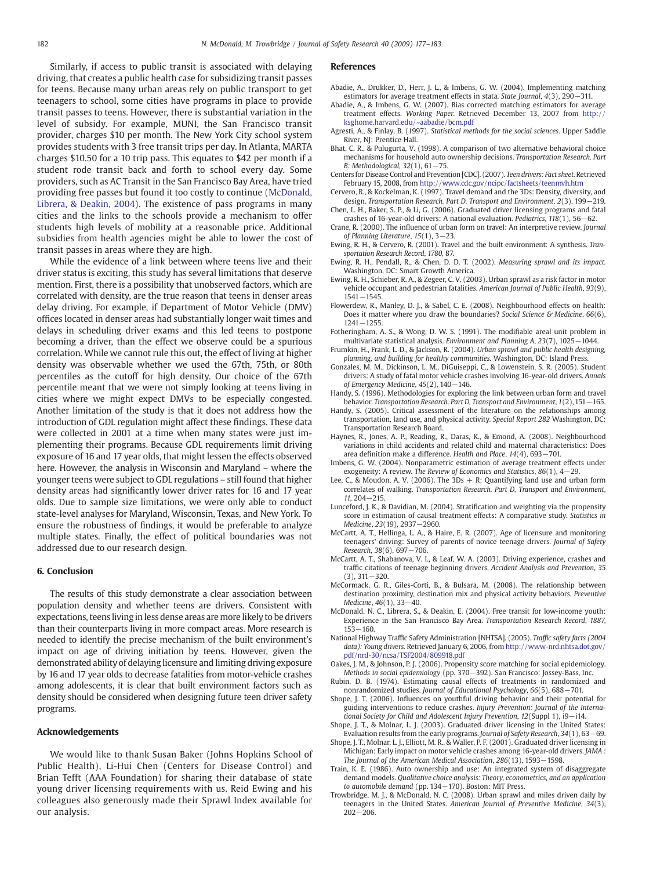<span id="page-5-0"></span>Similarly, if access to public transit is associated with delaying driving, that creates a public health case for subsidizing transit passes for teens. Because many urban areas rely on public transport to get teenagers to school, some cities have programs in place to provide transit passes to teens. However, there is substantial variation in the level of subsidy. For example, MUNI, the San Francisco transit provider, charges \$10 per month. The New York City school system provides students with 3 free transit trips per day. In Atlanta, MARTA charges \$10.50 for a 10 trip pass. This equates to \$42 per month if a student rode transit back and forth to school every day. Some providers, such as AC Transit in the San Francisco Bay Area, have tried providing free passes but found it too costly to continue (McDonald, Librera, & Deakin, 2004). The existence of pass programs in many cities and the links to the schools provide a mechanism to offer students high levels of mobility at a reasonable price. Additional subsidies from health agencies might be able to lower the cost of transit passes in areas where they are high.

While the evidence of a link between where teens live and their driver status is exciting, this study has several limitations that deserve mention. First, there is a possibility that unobserved factors, which are correlated with density, are the true reason that teens in denser areas delay driving. For example, if Department of Motor Vehicle (DMV) offices located in denser areas had substantially longer wait times and delays in scheduling driver exams and this led teens to postpone becoming a driver, than the effect we observe could be a spurious correlation. While we cannot rule this out, the effect of living at higher density was observable whether we used the 67th, 75th, or 80th percentiles as the cutoff for high density. Our choice of the 67th percentile meant that we were not simply looking at teens living in cities where we might expect DMVs to be especially congested. Another limitation of the study is that it does not address how the introduction of GDL regulation might affect these findings. These data were collected in 2001 at a time when many states were just implementing their programs. Because GDL requirements limit driving exposure of 16 and 17 year olds, that might lessen the effects observed here. However, the analysis in Wisconsin and Maryland – where the younger teens were subject to GDL regulations – still found that higher density areas had significantly lower driver rates for 16 and 17 year olds. Due to sample size limitations, we were only able to conduct state-level analyses for Maryland, Wisconsin, Texas, and New York. To ensure the robustness of findings, it would be preferable to analyze multiple states. Finally, the effect of political boundaries was not addressed due to our research design.

#### 6. Conclusion

The results of this study demonstrate a clear association between population density and whether teens are drivers. Consistent with expectations, teens living in less dense areas are more likely to be drivers than their counterparts living in more compact areas. More research is needed to identify the precise mechanism of the built environment's impact on age of driving initiation by teens. However, given the demonstrated ability of delaying licensure and limiting driving exposure by 16 and 17 year olds to decrease fatalities from motor-vehicle crashes among adolescents, it is clear that built environment factors such as density should be considered when designing future teen driver safety programs.

#### Acknowledgements

We would like to thank Susan Baker (Johns Hopkins School of Public Health), Li-Hui Chen (Centers for Disease Control) and Brian Tefft (AAA Foundation) for sharing their database of state young driver licensing requirements with us. Reid Ewing and his colleagues also generously made their Sprawl Index available for our analysis.

#### References

- Abadie, A., Drukker, D., Herr, J. L., & Imbens, G. W. (2004). Implementing matching estimators for average treatment effects in stata. State Journal, 4(3), 290−311.
- Abadie, A., & Imbens, G. W. (2007). Bias corrected matching estimators for average treatment effects. Working Paper. Retrieved December 13, 2007 from http:// ksghome.harvard.edu/~aabadie/bcm.pdf
- Agresti, A., & Finlay, B. (1997). Statistical methods for the social sciences. Upper Saddle River, NJ: Prentice Hall.
- Bhat, C. R., & Pulugurta, V. (1998). A comparison of two alternative behavioral choice mechanisms for household auto ownership decisions. Transportation Research. Part B: Methodological, 32(1), 61−75.
- Centers for Disease Control and Prevention [CDC]. (2007). Teen drivers: Fact sheet.Retrieved February 15, 2008, from <http://www.cdc.gov/ncipc/factsheets/teenmvh.htm>
- Cervero, R., & Kockelman, K. (1997). Travel demand and the 3Ds: Density, diversity, and design. Transportation Research. Part D, Transport and Environment, 2(3), 199−219. Chen, L. H., Baker, S. P., & Li, G. (2006). Graduated driver licensing programs and fatal
- crashes of 16-year-old drivers: A national evaluation. Pediatrics, 118(1), 56−62. Crane, R. (2000). The influence of urban form on travel: An interpretive review. Journal
- of Planning Literature, 15(1), 3−23. Ewing, R. H., & Cervero, R. (2001). Travel and the built environment: A synthesis. Tran-
- sportation Research Record, 1780, 87. Ewing, R. H., Pendall, R., & Chen, D. D. T. (2002). Measuring sprawl and its impact. Washington, DC: Smart Growth America.
- Ewing, R. H., Schieber, R. A., & Zegeer, C. V. (2003). Urban sprawl as a risk factor in motor vehicle occupant and pedestrian fatalities. American Journal of Public Health, 93(9), 1541−1545.
- Flowerdew, R., Manley, D. J., & Sabel, C. E. (2008). Neighbourhood effects on health: Does it matter where you draw the boundaries? Social Science & Medicine,  $66(6)$ , 1241−1255.
- Fotheringham, A. S., & Wong, D. W. S. (1991). The modifiable areal unit problem in multivariate statistical analysis. Environment and Planning A, 23(7), 1025−1044.
- Frumkin, H., Frank, L. D., & Jackson, R. (2004). Urban sprawl and public health designing, planning, and building for healthy communities. Washington, DC: Island Press.
- Gonzales, M. M., Dickinson, L. M., DiGuiseppi, C., & Lowenstein, S. R. (2005). Student drivers: A study of fatal motor vehicle crashes involving 16-year-old drivers. Annals of Emergency Medicine, 45(2), 140−146.
- Handy, S. (1996). Methodologies for exploring the link between urban form and travel behavior. Transportation Research. Part D, Transport and Environment, 1(2), 151−165.
- Handy, S. (2005). Critical assessment of the literature on the relationships among transportation, land use, and physical activity. Special Report 282 Washington, DC: Transportation Research Board.
- Haynes, R., Jones, A. P., Reading, R., Daras, K., & Emond, A. (2008). Neighbourhood variations in child accidents and related child and maternal characteristics: Does area definition make a difference. Health and Place, 14(4), 693−701.
- Imbens, G. W. (2004). Nonparametric estimation of average treatment effects under exogeneity: A review. The Review of Economics and Statistics, 86(1), 4−29.
- Lee, C., & Moudon, A. V. (2006). The  $3Ds + R$ : Quantifying land use and urban form correlates of walking. Transportation Research. Part D, Transport and Environment, 11, 204−215.
- Lunceford, J. K., & Davidian, M. (2004). Stratification and weighting via the propensity score in estimation of causal treatment effects: A comparative study. Statistics in Medicine, 23(19), 2937−2960.
- McCartt, A. T., Hellinga, L. A., & Haire, E. R. (2007). Age of licensure and monitoring teenagers' driving: Survey of parents of novice teenage drivers. Journal of Safety Research, 38(6), 697−706.
- McCartt, A. T., Shabanova, V. I., & Leaf, W. A. (2003). Driving experience, crashes and traffic citations of teenage beginning drivers. Accident Analysis and Prevention, 35 (3), 311−320.
- McCormack, G. R., Giles-Corti, B., & Bulsara, M. (2008). The relationship between destination proximity, destination mix and physical activity behaviors. Preventive Medicine, 46(1), 33−40.
- McDonald, N. C., Librera, S., & Deakin, E. (2004). Free transit for low-income youth: Experience in the San Francisco Bay Area. Transportation Research Record, 1887, 153−160.
- National Highway Traffic Safety Administration [NHTSA]. (2005). Traffic safety facts (2004 data): Young drivers. Retrieved January 6, 2006, from [http://www-nrd.nhtsa.dot.gov/](http://www-nrd.nhtsa.dot.gov/pdf/nrd-30/ncsa/TSF2004/809918.pdf) [pdf/nrd-30/ncsa/TSF2004/809918.pdf](http://www-nrd.nhtsa.dot.gov/pdf/nrd-30/ncsa/TSF2004/809918.pdf)
- Oakes, J. M., & Johnson, P. J. (2006). Propensity score matching for social epidemiology. Methods in social epidemiology (pp. 370−392). San Francisco: Jossey-Bass, Inc.
- Rubin, D. B. (1974). Estimating causal effects of treatments in randomized and nonrandomized studies. Journal of Educational Psychology, 66(5), 688−701.
- Shope, J. T. (2006). Influences on youthful driving behavior and their potential for guiding interventions to reduce crashes. Injury Prevention: Journal of the International Society for Child and Adolescent Injury Prevention, 12(Suppl 1), i9−i14.
- Shope, J. T., & Molnar, L. J. (2003). Graduated driver licensing in the United States: Evaluation results from the early programs. Journal of Safety Research, 34(1), 63−69.
- Shope, J. T., Molnar, L. J., Elliott, M. R., & Waller, P. F. (2001). Graduated driver licensing in Michigan: Early impact on motor vehicle crashes among 16-year-old drivers. JAMA : The Journal of the American Medical Association, 286(13), 1593−1598.
- Train, K. E. (1986). Auto ownership and use: An integrated system of disaggregate demand models. Qualitative choice analysis: Theory, econometrics, and an application to automobile demand (pp. 134−170). Boston: MIT Press.
- Trowbridge, M. J., & McDonald, N. C. (2008). Urban sprawl and miles driven daily by teenagers in the United States. American Journal of Preventive Medicine, 34(3), 202−206.